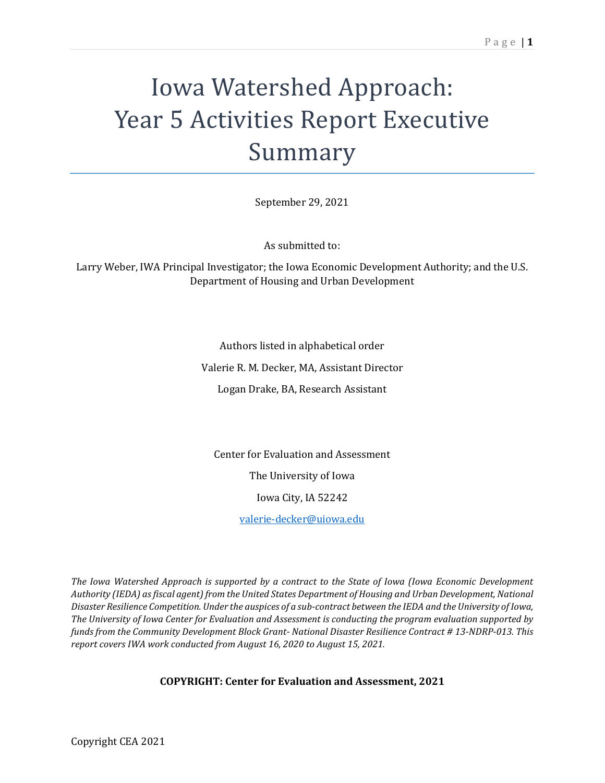# Iowa Watershed Approach: Year 5 Activities Report Executive Summary

September 29, 2021

As submitted to:

Larry Weber, IWA Principal Investigator; the Iowa Economic Development Authority; and the U.S. Department of Housing and Urban Development

Authors listed in alphabetical order

Valerie R. M. Decker, MA, Assistant Director

Logan Drake, BA, Research Assistant

Center for Evaluation and Assessment The University of Iowa Iowa City, IA 52242

[valerie-decker@uiowa.edu](mailto:valerie-decker@uiowa.edu)

*The Iowa Watershed Approach is supported by a contract to the State of Iowa (Iowa Economic Development Authority (IEDA) as fiscal agent) from the United States Department of Housing and Urban Development, National Disaster Resilience Competition. Under the auspices of a sub-contract between the IEDA and the University of Iowa, The University of Iowa Center for Evaluation and Assessment is conducting the program evaluation supported by funds from the Community Development Block Grant- National Disaster Resilience Contract # 13-NDRP-013. This report covers IWA work conducted from August 16, 2020 to August 15, 2021.*

**COPYRIGHT: Center for Evaluation and Assessment, 2021**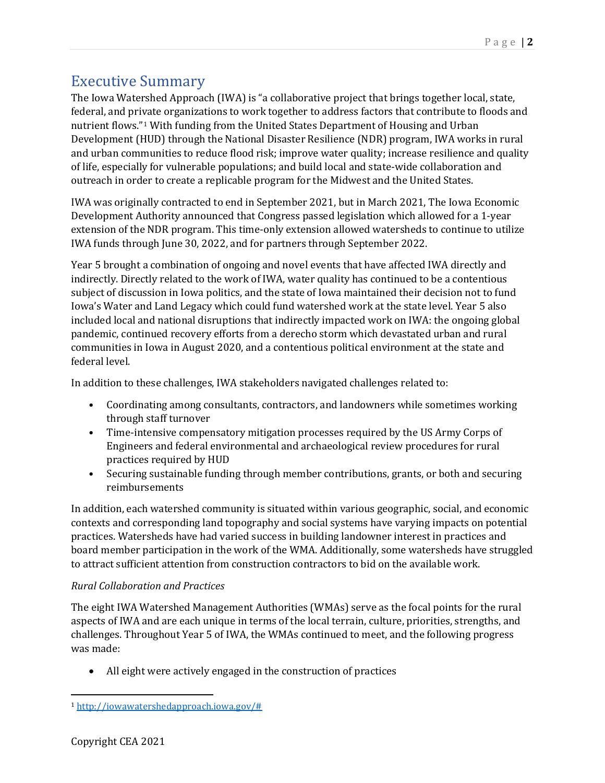## Executive Summary

The Iowa Watershed Approach (IWA) is "a collaborative project that brings together local, state, federal, and private organizations to work together to address factors that contribute to floods and nutrient flows.["1](#page-1-0) With funding from the United States Department of Housing and Urban Development (HUD) through the National Disaster Resilience (NDR) program, IWA works in rural and urban communities to reduce flood risk; improve water quality; increase resilience and quality of life, especially for vulnerable populations; and build local and state-wide collaboration and outreach in order to create a replicable program for the Midwest and the United States.

IWA was originally contracted to end in September 2021, but in March 2021, The Iowa Economic Development Authority announced that Congress passed legislation which allowed for a 1-year extension of the NDR program. This time-only extension allowed watersheds to continue to utilize IWA funds through June 30, 2022, and for partners through September 2022.

Year 5 brought a combination of ongoing and novel events that have affected IWA directly and indirectly. Directly related to the work of IWA, water quality has continued to be a contentious subject of discussion in Iowa politics, and the state of Iowa maintained their decision not to fund Iowa's Water and Land Legacy which could fund watershed work at the state level. Year 5 also included local and national disruptions that indirectly impacted work on IWA: the ongoing global pandemic, continued recovery efforts from a derecho storm which devastated urban and rural communities in Iowa in August 2020, and a contentious political environment at the state and federal level.

In addition to these challenges, IWA stakeholders navigated challenges related to:

- Coordinating among consultants, contractors, and landowners while sometimes working through staff turnover
- Time-intensive compensatory mitigation processes required by the US Army Corps of Engineers and federal environmental and archaeological review procedures for rural practices required by HUD
- Securing sustainable funding through member contributions, grants, or both and securing reimbursements

In addition, each watershed community is situated within various geographic, social, and economic contexts and corresponding land topography and social systems have varying impacts on potential practices. Watersheds have had varied success in building landowner interest in practices and board member participation in the work of the WMA. Additionally, some watersheds have struggled to attract sufficient attention from construction contractors to bid on the available work.

### *Rural Collaboration and Practices*

The eight IWA Watershed Management Authorities (WMAs) serve as the focal points for the rural aspects of IWA and are each unique in terms of the local terrain, culture, priorities, strengths, and challenges. Throughout Year 5 of IWA, the WMAs continued to meet, and the following progress was made:

All eight were actively engaged in the construction of practices

<span id="page-1-0"></span><sup>1</sup> [http://iowawatershedapproach.iowa.gov/#](http://iowawatershedapproach.iowa.gov/)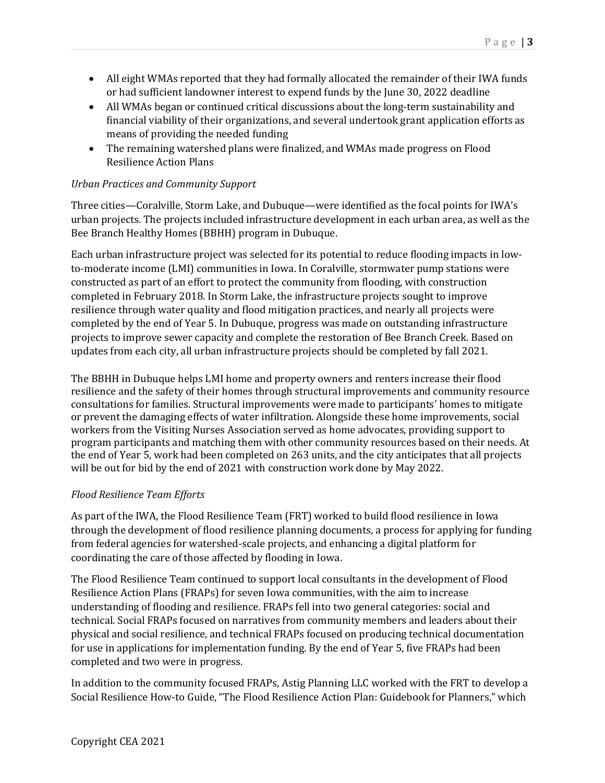- All eight WMAs reported that they had formally allocated the remainder of their IWA funds or had sufficient landowner interest to expend funds by the June 30, 2022 deadline
- All WMAs began or continued critical discussions about the long-term sustainability and financial viability of their organizations, and several undertook grant application efforts as means of providing the needed funding
- The remaining watershed plans were finalized, and WMAs made progress on Flood Resilience Action Plans

#### *Urban Practices and Community Support*

Three cities—Coralville, Storm Lake, and Dubuque—were identified as the focal points for IWA's urban projects. The projects included infrastructure development in each urban area, as well as the Bee Branch Healthy Homes (BBHH) program in Dubuque.

Each urban infrastructure project was selected for its potential to reduce flooding impacts in lowto-moderate income (LMI) communities in Iowa. In Coralville, stormwater pump stations were constructed as part of an effort to protect the community from flooding, with construction completed in February 2018. In Storm Lake, the infrastructure projects sought to improve resilience through water quality and flood mitigation practices, and nearly all projects were completed by the end of Year 5. In Dubuque, progress was made on outstanding infrastructure projects to improve sewer capacity and complete the restoration of Bee Branch Creek. Based on updates from each city, all urban infrastructure projects should be completed by fall 2021.

The BBHH in Dubuque helps LMI home and property owners and renters increase their flood resilience and the safety of their homes through structural improvements and community resource consultations for families. Structural improvements were made to participants' homes to mitigate or prevent the damaging effects of water infiltration. Alongside these home improvements, social workers from the Visiting Nurses Association served as home advocates, providing support to program participants and matching them with other community resources based on their needs. At the end of Year 5, work had been completed on 263 units, and the city anticipates that all projects will be out for bid by the end of 2021 with construction work done by May 2022.

#### *Flood Resilience Team Efforts*

As part of the IWA, the Flood Resilience Team (FRT) worked to build flood resilience in Iowa through the development of flood resilience planning documents, a process for applying for funding from federal agencies for watershed-scale projects, and enhancing a digital platform for coordinating the care of those affected by flooding in Iowa.

The Flood Resilience Team continued to support local consultants in the development of Flood Resilience Action Plans (FRAPs) for seven Iowa communities, with the aim to increase understanding of flooding and resilience. FRAPs fell into two general categories: social and technical. Social FRAPs focused on narratives from community members and leaders about their physical and social resilience, and technical FRAPs focused on producing technical documentation for use in applications for implementation funding. By the end of Year 5, five FRAPs had been completed and two were in progress.

In addition to the community focused FRAPs, Astig Planning LLC worked with the FRT to develop a Social Resilience How-to Guide, "The Flood Resilience Action Plan: Guidebook for Planners," which